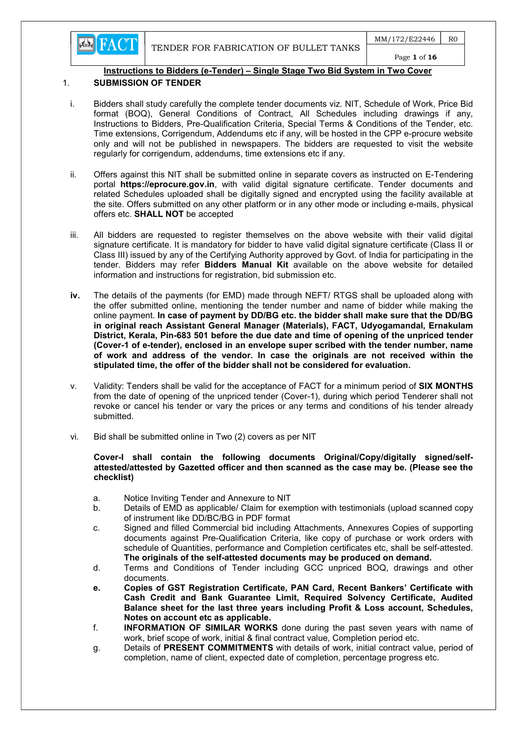**EN FACT** 

# Instructions to Bidders (e-Tender) – Single Stage Two Bid System in Two Cover

#### 1. SUBMISSION OF TENDER

- i. Bidders shall study carefully the complete tender documents viz. NIT, Schedule of Work, Price Bid format (BOQ), General Conditions of Contract, All Schedules including drawings if any, Instructions to Bidders, Pre-Qualification Criteria, Special Terms & Conditions of the Tender, etc. Time extensions, Corrigendum, Addendums etc if any, will be hosted in the CPP e-procure website only and will not be published in newspapers. The bidders are requested to visit the website regularly for corrigendum, addendums, time extensions etc if any.
- ii. Offers against this NIT shall be submitted online in separate covers as instructed on E-Tendering portal https://eprocure.gov.in, with valid digital signature certificate. Tender documents and related Schedules uploaded shall be digitally signed and encrypted using the facility available at the site. Offers submitted on any other platform or in any other mode or including e-mails, physical offers etc. SHALL NOT be accepted
- iii. All bidders are requested to register themselves on the above website with their valid digital signature certificate. It is mandatory for bidder to have valid digital signature certificate (Class II or Class III) issued by any of the Certifying Authority approved by Govt. of India for participating in the tender. Bidders may refer **Bidders Manual Kit** available on the above website for detailed information and instructions for registration, bid submission etc.
- iv. The details of the payments (for EMD) made through NEFT/ RTGS shall be uploaded along with the offer submitted online, mentioning the tender number and name of bidder while making the online payment. In case of payment by DD/BG etc. the bidder shall make sure that the DD/BG in original reach Assistant General Manager (Materials), FACT, Udyogamandal, Ernakulam District, Kerala, Pin-683 501 before the due date and time of opening of the unpriced tender (Cover-1 of e-tender), enclosed in an envelope super scribed with the tender number, name of work and address of the vendor. In case the originals are not received within the stipulated time, the offer of the bidder shall not be considered for evaluation.
- v. Validity: Tenders shall be valid for the acceptance of FACT for a minimum period of SIX MONTHS from the date of opening of the unpriced tender (Cover-1), during which period Tenderer shall not revoke or cancel his tender or vary the prices or any terms and conditions of his tender already submitted.
- vi. Bid shall be submitted online in Two (2) covers as per NIT

#### Cover-I shall contain the following documents Original/Copy/digitally signed/selfattested/attested by Gazetted officer and then scanned as the case may be. (Please see the checklist)

- a. Notice Inviting Tender and Annexure to NIT
- b. Details of EMD as applicable/ Claim for exemption with testimonials (upload scanned copy of instrument like DD/BC/BG in PDF format
- c. Signed and filled Commercial bid including Attachments, Annexures Copies of supporting documents against Pre-Qualification Criteria, like copy of purchase or work orders with schedule of Quantities, performance and Completion certificates etc, shall be self-attested. The originals of the self-attested documents may be produced on demand.
- d. Terms and Conditions of Tender including GCC unpriced BOQ, drawings and other documents.
- e. Copies of GST Registration Certificate, PAN Card, Recent Bankers' Certificate with Cash Credit and Bank Guarantee Limit, Required Solvency Certificate, Audited Balance sheet for the last three years including Profit & Loss account, Schedules, Notes on account etc as applicable.
- f. INFORMATION OF SIMILAR WORKS done during the past seven years with name of work, brief scope of work, initial & final contract value, Completion period etc.
- g. Details of PRESENT COMMITMENTS with details of work, initial contract value, period of completion, name of client, expected date of completion, percentage progress etc.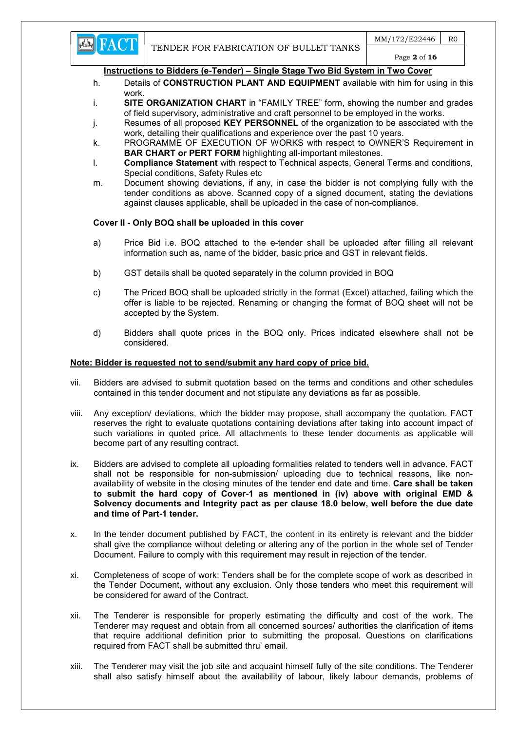

### Page 2 of 16

#### Instructions to Bidders (e-Tender) – Single Stage Two Bid System in Two Cover

- h. Details of **CONSTRUCTION PLANT AND EQUIPMENT** available with him for using in this work.
- i. SITE ORGANIZATION CHART in "FAMILY TREE" form, showing the number and grades of field supervisory, administrative and craft personnel to be employed in the works.
- j. Resumes of all proposed KEY PERSONNEL of the organization to be associated with the work, detailing their qualifications and experience over the past 10 years.
- k. PROGRAMME OF EXECUTION OF WORKS with respect to OWNER'S Requirement in BAR CHART or PERT FORM highlighting all-important milestones.
- l. Compliance Statement with respect to Technical aspects, General Terms and conditions, Special conditions, Safety Rules etc
- m. Document showing deviations, if any, in case the bidder is not complying fully with the tender conditions as above. Scanned copy of a signed document, stating the deviations against clauses applicable, shall be uploaded in the case of non-compliance.

### Cover II - Only BOQ shall be uploaded in this cover

- a) Price Bid i.e. BOQ attached to the e-tender shall be uploaded after filling all relevant information such as, name of the bidder, basic price and GST in relevant fields.
- b) GST details shall be quoted separately in the column provided in BOQ
- c) The Priced BOQ shall be uploaded strictly in the format (Excel) attached, failing which the offer is liable to be rejected. Renaming or changing the format of BOQ sheet will not be accepted by the System.
- d) Bidders shall quote prices in the BOQ only. Prices indicated elsewhere shall not be considered.

#### Note: Bidder is requested not to send/submit any hard copy of price bid.

- vii. Bidders are advised to submit quotation based on the terms and conditions and other schedules contained in this tender document and not stipulate any deviations as far as possible.
- viii. Any exception/ deviations, which the bidder may propose, shall accompany the quotation. FACT reserves the right to evaluate quotations containing deviations after taking into account impact of such variations in quoted price. All attachments to these tender documents as applicable will become part of any resulting contract.
- ix. Bidders are advised to complete all uploading formalities related to tenders well in advance. FACT shall not be responsible for non-submission/ uploading due to technical reasons, like nonavailability of website in the closing minutes of the tender end date and time. Care shall be taken to submit the hard copy of Cover-1 as mentioned in (iv) above with original EMD & Solvency documents and Integrity pact as per clause 18.0 below, well before the due date and time of Part-1 tender.
- x. In the tender document published by FACT, the content in its entirety is relevant and the bidder shall give the compliance without deleting or altering any of the portion in the whole set of Tender Document. Failure to comply with this requirement may result in rejection of the tender.
- xi. Completeness of scope of work: Tenders shall be for the complete scope of work as described in the Tender Document, without any exclusion. Only those tenders who meet this requirement will be considered for award of the Contract.
- xii. The Tenderer is responsible for properly estimating the difficulty and cost of the work. The Tenderer may request and obtain from all concerned sources/ authorities the clarification of items that require additional definition prior to submitting the proposal. Questions on clarifications required from FACT shall be submitted thru' email.
- xiii. The Tenderer may visit the job site and acquaint himself fully of the site conditions. The Tenderer shall also satisfy himself about the availability of labour, likely labour demands, problems of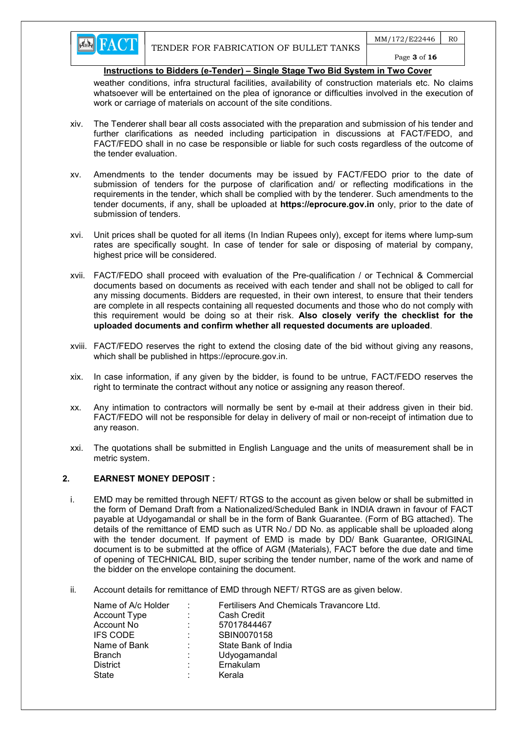weather conditions, infra structural facilities, availability of construction materials etc. No claims whatsoever will be entertained on the plea of ignorance or difficulties involved in the execution of work or carriage of materials on account of the site conditions.

- xiv. The Tenderer shall bear all costs associated with the preparation and submission of his tender and further clarifications as needed including participation in discussions at FACT/FEDO, and FACT/FEDO shall in no case be responsible or liable for such costs regardless of the outcome of the tender evaluation.
- xv. Amendments to the tender documents may be issued by FACT/FEDO prior to the date of submission of tenders for the purpose of clarification and/ or reflecting modifications in the requirements in the tender, which shall be complied with by the tenderer. Such amendments to the tender documents, if any, shall be uploaded at https://eprocure.gov.in only, prior to the date of submission of tenders.
- xvi. Unit prices shall be quoted for all items (In Indian Rupees only), except for items where lump-sum rates are specifically sought. In case of tender for sale or disposing of material by company, highest price will be considered.
- xvii. FACT/FEDO shall proceed with evaluation of the Pre-qualification / or Technical & Commercial documents based on documents as received with each tender and shall not be obliged to call for any missing documents. Bidders are requested, in their own interest, to ensure that their tenders are complete in all respects containing all requested documents and those who do not comply with this requirement would be doing so at their risk. Also closely verify the checklist for the uploaded documents and confirm whether all requested documents are uploaded.
- xviii. FACT/FEDO reserves the right to extend the closing date of the bid without giving any reasons, which shall be published in https://eprocure.gov.in.
- xix. In case information, if any given by the bidder, is found to be untrue, FACT/FEDO reserves the right to terminate the contract without any notice or assigning any reason thereof.
- xx. Any intimation to contractors will normally be sent by e-mail at their address given in their bid. FACT/FEDO will not be responsible for delay in delivery of mail or non-receipt of intimation due to any reason.
- xxi. The quotations shall be submitted in English Language and the units of measurement shall be in metric system.

### 2. EARNEST MONEY DEPOSIT :

- i. EMD may be remitted through NEFT/ RTGS to the account as given below or shall be submitted in the form of Demand Draft from a Nationalized/Scheduled Bank in INDIA drawn in favour of FACT payable at Udyogamandal or shall be in the form of Bank Guarantee. (Form of BG attached). The details of the remittance of EMD such as UTR No./ DD No. as applicable shall be uploaded along with the tender document. If payment of EMD is made by DD/ Bank Guarantee, ORIGINAL document is to be submitted at the office of AGM (Materials), FACT before the due date and time of opening of TECHNICAL BID, super scribing the tender number, name of the work and name of the bidder on the envelope containing the document.
- ii. Account details for remittance of EMD through NEFT/ RTGS are as given below.

| Name of A/c Holder |    | Fertilisers And Chemicals Travancore Ltd. |
|--------------------|----|-------------------------------------------|
| Account Type       | ÷  | Cash Credit                               |
| Account No         | ÷  | 57017844467                               |
| <b>IFS CODE</b>    | ÷  | SBIN0070158                               |
| Name of Bank       | ٠. | State Bank of India                       |
| <b>Branch</b>      | ÷  | Udyogamandal                              |
| <b>District</b>    | ÷  | Ernakulam                                 |
| State              |    | Kerala                                    |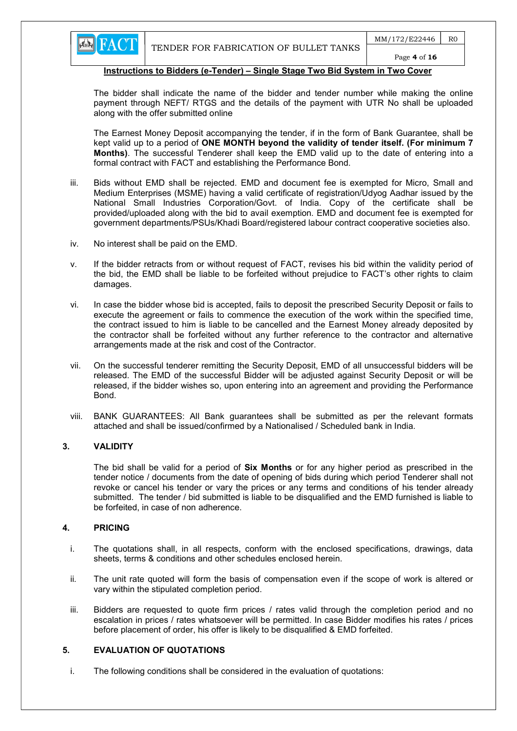

Page 4 of 16

### Instructions to Bidders (e-Tender) – Single Stage Two Bid System in Two Cover

The bidder shall indicate the name of the bidder and tender number while making the online payment through NEFT/ RTGS and the details of the payment with UTR No shall be uploaded along with the offer submitted online

The Earnest Money Deposit accompanying the tender, if in the form of Bank Guarantee, shall be kept valid up to a period of ONE MONTH beyond the validity of tender itself. (For minimum 7 Months). The successful Tenderer shall keep the EMD valid up to the date of entering into a formal contract with FACT and establishing the Performance Bond.

- iii. Bids without EMD shall be rejected. EMD and document fee is exempted for Micro, Small and Medium Enterprises (MSME) having a valid certificate of registration/Udyog Aadhar issued by the National Small Industries Corporation/Govt. of India. Copy of the certificate shall be provided/uploaded along with the bid to avail exemption. EMD and document fee is exempted for government departments/PSUs/Khadi Board/registered labour contract cooperative societies also.
- iv. No interest shall be paid on the EMD.
- v. If the bidder retracts from or without request of FACT, revises his bid within the validity period of the bid, the EMD shall be liable to be forfeited without prejudice to FACT's other rights to claim damages.
- vi. In case the bidder whose bid is accepted, fails to deposit the prescribed Security Deposit or fails to execute the agreement or fails to commence the execution of the work within the specified time, the contract issued to him is liable to be cancelled and the Earnest Money already deposited by the contractor shall be forfeited without any further reference to the contractor and alternative arrangements made at the risk and cost of the Contractor.
- vii. On the successful tenderer remitting the Security Deposit, EMD of all unsuccessful bidders will be released. The EMD of the successful Bidder will be adjusted against Security Deposit or will be released, if the bidder wishes so, upon entering into an agreement and providing the Performance Bond.
- viii. BANK GUARANTEES: All Bank guarantees shall be submitted as per the relevant formats attached and shall be issued/confirmed by a Nationalised / Scheduled bank in India.

### 3. VALIDITY

The bid shall be valid for a period of **Six Months** or for any higher period as prescribed in the tender notice / documents from the date of opening of bids during which period Tenderer shall not revoke or cancel his tender or vary the prices or any terms and conditions of his tender already submitted. The tender / bid submitted is liable to be disqualified and the EMD furnished is liable to be forfeited, in case of non adherence.

### 4. PRICING

- i. The quotations shall, in all respects, conform with the enclosed specifications, drawings, data sheets, terms & conditions and other schedules enclosed herein.
- ii. The unit rate quoted will form the basis of compensation even if the scope of work is altered or vary within the stipulated completion period.
- iii. Bidders are requested to quote firm prices / rates valid through the completion period and no escalation in prices / rates whatsoever will be permitted. In case Bidder modifies his rates / prices before placement of order, his offer is likely to be disqualified & EMD forfeited.

# 5. EVALUATION OF QUOTATIONS

i. The following conditions shall be considered in the evaluation of quotations: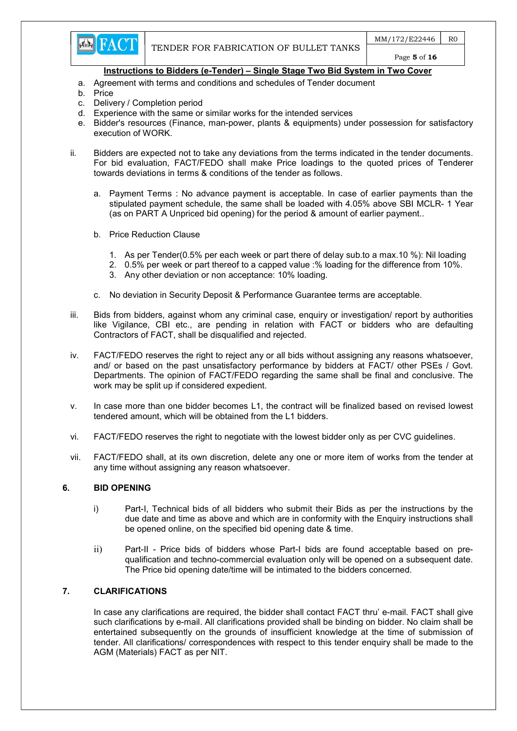

- a. Agreement with terms and conditions and schedules of Tender document
- b. Price
- c. Delivery / Completion period
- d. Experience with the same or similar works for the intended services
- e. Bidder's resources (Finance, man-power, plants & equipments) under possession for satisfactory execution of WORK.
- ii. Bidders are expected not to take any deviations from the terms indicated in the tender documents. For bid evaluation, FACT/FEDO shall make Price loadings to the quoted prices of Tenderer towards deviations in terms & conditions of the tender as follows.
	- a. Payment Terms : No advance payment is acceptable. In case of earlier payments than the stipulated payment schedule, the same shall be loaded with 4.05% above SBI MCLR- 1 Year (as on PART A Unpriced bid opening) for the period & amount of earlier payment..
	- b. Price Reduction Clause
		- 1. As per Tender(0.5% per each week or part there of delay sub.to a max.10 %): Nil loading
		- 2. 0.5% per week or part thereof to a capped value :% loading for the difference from 10%.
		- 3. Any other deviation or non acceptance: 10% loading.
	- c. No deviation in Security Deposit & Performance Guarantee terms are acceptable.
- iii. Bids from bidders, against whom any criminal case, enquiry or investigation/ report by authorities like Vigilance, CBI etc., are pending in relation with FACT or bidders who are defaulting Contractors of FACT, shall be disqualified and rejected.
- iv. FACT/FEDO reserves the right to reject any or all bids without assigning any reasons whatsoever, and/ or based on the past unsatisfactory performance by bidders at FACT/ other PSEs / Govt. Departments. The opinion of FACT/FEDO regarding the same shall be final and conclusive. The work may be split up if considered expedient.
- v. In case more than one bidder becomes L1, the contract will be finalized based on revised lowest tendered amount, which will be obtained from the L1 bidders.
- vi. FACT/FEDO reserves the right to negotiate with the lowest bidder only as per CVC guidelines.
- vii. FACT/FEDO shall, at its own discretion, delete any one or more item of works from the tender at any time without assigning any reason whatsoever.

### 6. BID OPENING

- i) Part-I, Technical bids of all bidders who submit their Bids as per the instructions by the due date and time as above and which are in conformity with the Enquiry instructions shall be opened online, on the specified bid opening date & time.
- ii) Part-II Price bids of bidders whose Part-I bids are found acceptable based on prequalification and techno-commercial evaluation only will be opened on a subsequent date. The Price bid opening date/time will be intimated to the bidders concerned.

# 7. CLARIFICATIONS

In case any clarifications are required, the bidder shall contact FACT thru' e-mail. FACT shall give such clarifications by e-mail. All clarifications provided shall be binding on bidder. No claim shall be entertained subsequently on the grounds of insufficient knowledge at the time of submission of tender. All clarifications/ correspondences with respect to this tender enquiry shall be made to the AGM (Materials) FACT as per NIT.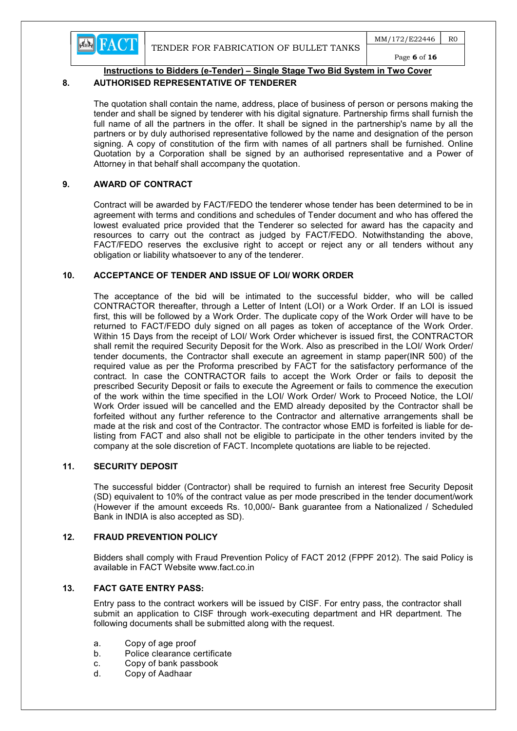



# 8. AUTHORISED REPRESENTATIVE OF TENDERER

The quotation shall contain the name, address, place of business of person or persons making the tender and shall be signed by tenderer with his digital signature. Partnership firms shall furnish the full name of all the partners in the offer. It shall be signed in the partnership's name by all the partners or by duly authorised representative followed by the name and designation of the person signing. A copy of constitution of the firm with names of all partners shall be furnished. Online Quotation by a Corporation shall be signed by an authorised representative and a Power of Attorney in that behalf shall accompany the quotation.

# 9. AWARD OF CONTRACT

Contract will be awarded by FACT/FEDO the tenderer whose tender has been determined to be in agreement with terms and conditions and schedules of Tender document and who has offered the lowest evaluated price provided that the Tenderer so selected for award has the capacity and resources to carry out the contract as judged by FACT/FEDO. Notwithstanding the above, FACT/FEDO reserves the exclusive right to accept or reject any or all tenders without any obligation or liability whatsoever to any of the tenderer.

# 10. ACCEPTANCE OF TENDER AND ISSUE OF LOI/ WORK ORDER

The acceptance of the bid will be intimated to the successful bidder, who will be called CONTRACTOR thereafter, through a Letter of Intent (LOI) or a Work Order. If an LOI is issued first, this will be followed by a Work Order. The duplicate copy of the Work Order will have to be returned to FACT/FEDO duly signed on all pages as token of acceptance of the Work Order. Within 15 Days from the receipt of LOI/ Work Order whichever is issued first, the CONTRACTOR shall remit the required Security Deposit for the Work. Also as prescribed in the LOI/ Work Order/ tender documents, the Contractor shall execute an agreement in stamp paper(INR 500) of the required value as per the Proforma prescribed by FACT for the satisfactory performance of the contract. In case the CONTRACTOR fails to accept the Work Order or fails to deposit the prescribed Security Deposit or fails to execute the Agreement or fails to commence the execution of the work within the time specified in the LOI/ Work Order/ Work to Proceed Notice, the LOI/ Work Order issued will be cancelled and the EMD already deposited by the Contractor shall be forfeited without any further reference to the Contractor and alternative arrangements shall be made at the risk and cost of the Contractor. The contractor whose EMD is forfeited is liable for delisting from FACT and also shall not be eligible to participate in the other tenders invited by the company at the sole discretion of FACT. Incomplete quotations are liable to be rejected.

### 11. SECURITY DEPOSIT

The successful bidder (Contractor) shall be required to furnish an interest free Security Deposit (SD) equivalent to 10% of the contract value as per mode prescribed in the tender document/work (However if the amount exceeds Rs. 10,000/- Bank guarantee from a Nationalized / Scheduled Bank in INDIA is also accepted as SD).

# 12. FRAUD PREVENTION POLICY

Bidders shall comply with Fraud Prevention Policy of FACT 2012 (FPPF 2012). The said Policy is available in FACT Website www.fact.co.in

### 13. FACT GATE ENTRY PASS:

Entry pass to the contract workers will be issued by CISF. For entry pass, the contractor shall submit an application to CISF through work-executing department and HR department. The following documents shall be submitted along with the request.

- a. Copy of age proof
- b. Police clearance certificate
- c. Copy of bank passbook
- d. Copy of Aadhaar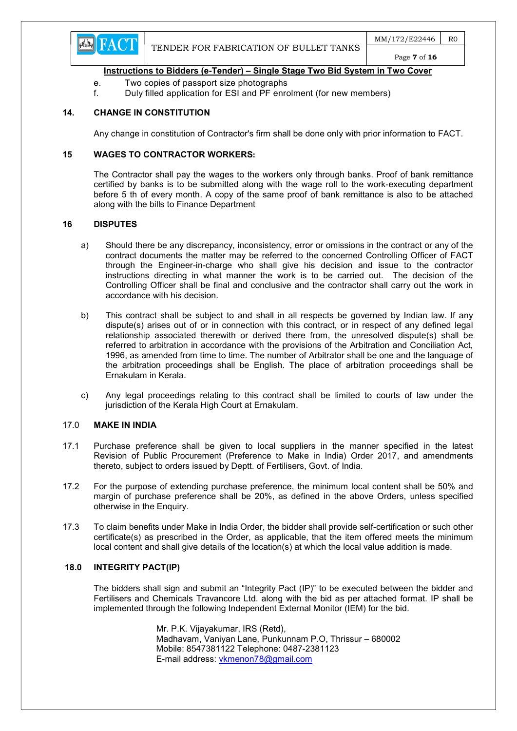

- e. Two copies of passport size photographs
- f. Duly filled application for ESI and PF enrolment (for new members)

# 14. CHANGE IN CONSTITUTION

Any change in constitution of Contractor's firm shall be done only with prior information to FACT.

#### 15 WAGES TO CONTRACTOR WORKERS:

The Contractor shall pay the wages to the workers only through banks. Proof of bank remittance certified by banks is to be submitted along with the wage roll to the work-executing department before 5 th of every month. A copy of the same proof of bank remittance is also to be attached along with the bills to Finance Department

#### 16 DISPUTES

- a) Should there be any discrepancy, inconsistency, error or omissions in the contract or any of the contract documents the matter may be referred to the concerned Controlling Officer of FACT through the Engineer-in-charge who shall give his decision and issue to the contractor instructions directing in what manner the work is to be carried out. The decision of the Controlling Officer shall be final and conclusive and the contractor shall carry out the work in accordance with his decision.
- b) This contract shall be subject to and shall in all respects be governed by Indian law. If any dispute(s) arises out of or in connection with this contract, or in respect of any defined legal relationship associated therewith or derived there from, the unresolved dispute(s) shall be referred to arbitration in accordance with the provisions of the Arbitration and Conciliation Act, 1996, as amended from time to time. The number of Arbitrator shall be one and the language of the arbitration proceedings shall be English. The place of arbitration proceedings shall be Ernakulam in Kerala.
- c) Any legal proceedings relating to this contract shall be limited to courts of law under the jurisdiction of the Kerala High Court at Ernakulam.

#### 17.0 MAKE IN INDIA

- 17.1 Purchase preference shall be given to local suppliers in the manner specified in the latest Revision of Public Procurement (Preference to Make in India) Order 2017, and amendments thereto, subject to orders issued by Deptt. of Fertilisers, Govt. of India.
- 17.2 For the purpose of extending purchase preference, the minimum local content shall be 50% and margin of purchase preference shall be 20%, as defined in the above Orders, unless specified otherwise in the Enquiry.
- 17.3 To claim benefits under Make in India Order, the bidder shall provide self-certification or such other certificate(s) as prescribed in the Order, as applicable, that the item offered meets the minimum local content and shall give details of the location(s) at which the local value addition is made.

#### 18.0 INTEGRITY PACT(IP)

The bidders shall sign and submit an "Integrity Pact (IP)" to be executed between the bidder and Fertilisers and Chemicals Travancore Ltd. along with the bid as per attached format. IP shall be implemented through the following Independent External Monitor (IEM) for the bid.

> Mr. P.K. Vijayakumar, IRS (Retd), Madhavam, Vaniyan Lane, Punkunnam P.O, Thrissur – 680002 Mobile: 8547381122 Telephone: 0487-2381123 E-mail address: vkmenon78@gmail.com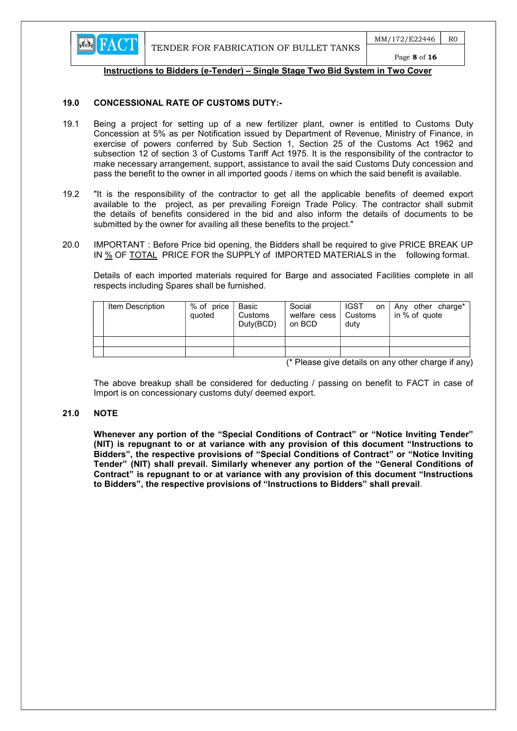

#### 19.0 CONCESSIONAL RATE OF CUSTOMS DUTY:-

- 19.1 Being a project for setting up of a new fertilizer plant, owner is entitled to Customs Duty Concession at 5% as per Notification issued by Department of Revenue, Ministry of Finance, in exercise of powers conferred by Sub Section 1, Section 25 of the Customs Act 1962 and subsection 12 of section 3 of Customs Tariff Act 1975. It is the responsibility of the contractor to make necessary arrangement, support, assistance to avail the said Customs Duty concession and pass the benefit to the owner in all imported goods / items on which the said benefit is available.
- 19.2 "It is the responsibility of the contractor to get all the applicable benefits of deemed export available to the project, as per prevailing Foreign Trade Policy. The contractor shall submit the details of benefits considered in the bid and also inform the details of documents to be submitted by the owner for availing all these benefits to the project."
- 20.0 IMPORTANT : Before Price bid opening, the Bidders shall be required to give PRICE BREAK UP IN % OF TOTAL PRICE FOR the SUPPLY of IMPORTED MATERIALS in the following format.

 Details of each imported materials required for Barge and associated Facilities complete in all respects including Spares shall be furnished.

| Item Description | % of price<br>quoted | Basic<br>Customs<br>Duty(BCD) | Social<br>welfare cess   Customs<br>on BCD | <b>IGST</b><br>on<br>duty | Any other charge*<br>in % of quote |
|------------------|----------------------|-------------------------------|--------------------------------------------|---------------------------|------------------------------------|

(\* Please give details on any other charge if any)

 The above breakup shall be considered for deducting / passing on benefit to FACT in case of Import is on concessionary customs duty/ deemed export.

#### 21.0 NOTE

Whenever any portion of the "Special Conditions of Contract" or "Notice Inviting Tender" (NIT) is repugnant to or at variance with any provision of this document "Instructions to Bidders", the respective provisions of "Special Conditions of Contract" or "Notice Inviting Tender" (NIT) shall prevail. Similarly whenever any portion of the "General Conditions of Contract" is repugnant to or at variance with any provision of this document "Instructions to Bidders", the respective provisions of "Instructions to Bidders" shall prevail.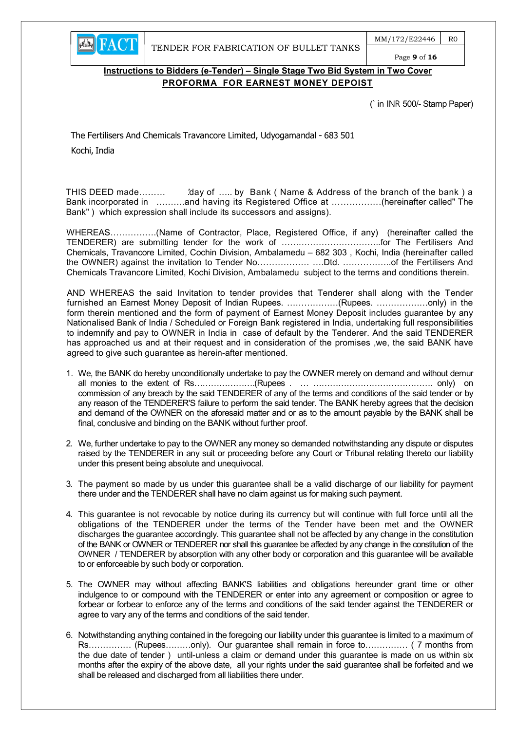$MM/172/E22446$  RO Page 9 of 16

# Instructions to Bidders (e-Tender) – Single Stage Two Bid System in Two Cover PROFORMA FOR EARNEST MONEY DEPOIST

(` in INR 500/- Stamp Paper)

The Fertilisers And Chemicals Travancore Limited, Udyogamandal - 683 501 Kochi, India

**EN FACT** 

THIS DEED made……… 'day of ….. by Bank (Name & Address of the branch of the bank) a Bank incorporated in ……….and having its Registered Office at ………….….(hereinafter called" The Bank" ) which expression shall include its successors and assigns).

WHEREAS…………….(Name of Contractor, Place, Registered Office, if any) (hereinafter called the TENDERER) are submitting tender for the work of ……………………………..for The Fertilisers And Chemicals, Travancore Limited, Cochin Division, Ambalamedu – 682 303 , Kochi, India (hereinafter called the OWNER) against the invitation to Tender No……………… ….Dtd. ……………..of the Fertilisers And Chemicals Travancore Limited, Kochi Division, Ambalamedu subject to the terms and conditions therein.

AND WHEREAS the said Invitation to tender provides that Tenderer shall along with the Tender furnished an Earnest Money Deposit of Indian Rupees. ………………(Rupees. ………………only) in the form therein mentioned and the form of payment of Earnest Money Deposit includes guarantee by any Nationalised Bank of India / Scheduled or Foreign Bank registered in India, undertaking full responsibilities to indemnify and pay to OWNER in India in case of default by the Tenderer. And the said TENDERER has approached us and at their request and in consideration of the promises ,we, the said BANK have agreed to give such guarantee as herein-after mentioned.

- 1. We, the BANK do hereby unconditionally undertake to pay the OWNER merely on demand and without demur all monies to the extent of Rs………………….(Rupees . … ……………………………………. only) on commission of any breach by the said TENDERER of any of the terms and conditions of the said tender or by any reason of the TENDERER'S failure to perform the said tender. The BANK hereby agrees that the decision and demand of the OWNER on the aforesaid matter and or as to the amount payable by the BANK shall be final, conclusive and binding on the BANK without further proof.
- 2. We, further undertake to pay to the OWNER any money so demanded notwithstanding any dispute or disputes raised by the TENDERER in any suit or proceeding before any Court or Tribunal relating thereto our liability under this present being absolute and unequivocal.
- 3. The payment so made by us under this guarantee shall be a valid discharge of our liability for payment there under and the TENDERER shall have no claim against us for making such payment.
- 4. This guarantee is not revocable by notice during its currency but will continue with full force until all the obligations of the TENDERER under the terms of the Tender have been met and the OWNER discharges the guarantee accordingly. This guarantee shall not be affected by any change in the constitution of the BANK or OWNER or TENDERER nor shall this guarantee be affected by any change in the constitution of the OWNER / TENDERER by absorption with any other body or corporation and this guarantee will be available to or enforceable by such body or corporation.
- 5. The OWNER may without affecting BANK'S liabilities and obligations hereunder grant time or other indulgence to or compound with the TENDERER or enter into any agreement or composition or agree to forbear or forbear to enforce any of the terms and conditions of the said tender against the TENDERER or agree to vary any of the terms and conditions of the said tender.
- 6. Notwithstanding anything contained in the foregoing our liability under this guarantee is limited to a maximum of Rs…………… (Rupees………only). Our guarantee shall remain in force to…………… ( 7 months from the due date of tender ) until-unless a claim or demand under this guarantee is made on us within six months after the expiry of the above date, all your rights under the said guarantee shall be forfeited and we shall be released and discharged from all liabilities there under.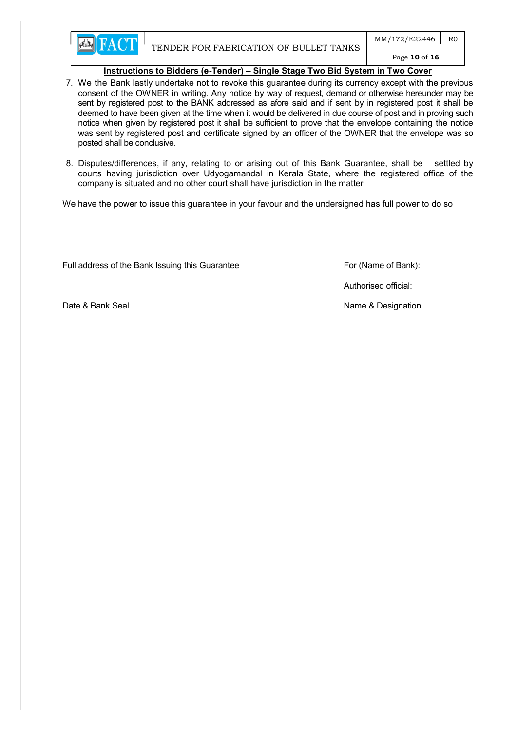

 $MM/172/E22446$  R0 Page 10 of 16

# Instructions to Bidders (e-Tender) – Single Stage Two Bid System in Two Cover

- 7. We the Bank lastly undertake not to revoke this guarantee during its currency except with the previous consent of the OWNER in writing. Any notice by way of request, demand or otherwise hereunder may be sent by registered post to the BANK addressed as afore said and if sent by in registered post it shall be deemed to have been given at the time when it would be delivered in due course of post and in proving such notice when given by registered post it shall be sufficient to prove that the envelope containing the notice was sent by registered post and certificate signed by an officer of the OWNER that the envelope was so posted shall be conclusive.
- 8. Disputes/differences, if any, relating to or arising out of this Bank Guarantee, shall be settled by courts having jurisdiction over Udyogamandal in Kerala State, where the registered office of the company is situated and no other court shall have jurisdiction in the matter

We have the power to issue this guarantee in your favour and the undersigned has full power to do so

Full address of the Bank Issuing this Guarantee For (Name of Bank):

Authorised official:

Date & Bank Seal Name & Designation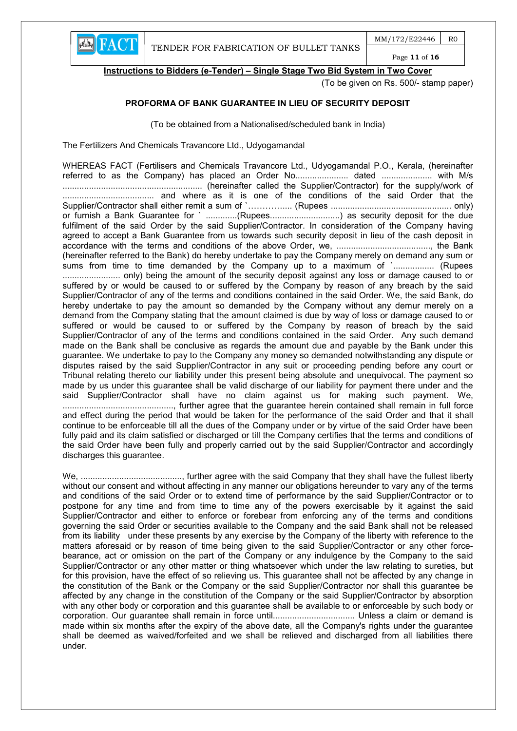

Instructions to Bidders (e-Tender) – Single Stage Two Bid System in Two Cover

(To be given on Rs. 500/- stamp paper)

# PROFORMA OF BANK GUARANTEE IN LIEU OF SECURITY DEPOSIT

(To be obtained from a Nationalised/scheduled bank in India)

The Fertilizers And Chemicals Travancore Ltd., Udyogamandal

WHEREAS FACT (Fertilisers and Chemicals Travancore Ltd., Udyogamandal P.O., Kerala, (hereinafter referred to as the Company) has placed an Order No......................... dated ........................... with M/s .......................................................... (hereinafter called the Supplier/Contractor) for the supply/work of ...................................... and where as it is one of the conditions of the said Order that the Supplier/Contractor shall either remit a sum of `………….... (Rupees .................................................. only) or furnish a Bank Guarantee for ` ..............(Rupees................................) as security deposit for the due fulfilment of the said Order by the said Supplier/Contractor. In consideration of the Company having agreed to accept a Bank Guarantee from us towards such security deposit in lieu of the cash deposit in accordance with the terms and conditions of the above Order, we, ......................................., the Bank (hereinafter referred to the Bank) do hereby undertake to pay the Company merely on demand any sum or sums from time to time demanded by the Company up to a maximum of `................. (Rupees ........................ only) being the amount of the security deposit against any loss or damage caused to or suffered by or would be caused to or suffered by the Company by reason of any breach by the said Supplier/Contractor of any of the terms and conditions contained in the said Order. We, the said Bank, do hereby undertake to pay the amount so demanded by the Company without any demur merely on a demand from the Company stating that the amount claimed is due by way of loss or damage caused to or suffered or would be caused to or suffered by the Company by reason of breach by the said Supplier/Contractor of any of the terms and conditions contained in the said Order. Any such demand made on the Bank shall be conclusive as regards the amount due and payable by the Bank under this guarantee. We undertake to pay to the Company any money so demanded notwithstanding any dispute or disputes raised by the said Supplier/Contractor in any suit or proceeding pending before any court or Tribunal relating thereto our liability under this present being absolute and unequivocal. The payment so made by us under this guarantee shall be valid discharge of our liability for payment there under and the said Supplier/Contractor shall have no claim against us for making such payment. We, .............................................., further agree that the guarantee herein contained shall remain in full force and effect during the period that would be taken for the performance of the said Order and that it shall continue to be enforceable till all the dues of the Company under or by virtue of the said Order have been fully paid and its claim satisfied or discharged or till the Company certifies that the terms and conditions of the said Order have been fully and properly carried out by the said Supplier/Contractor and accordingly discharges this guarantee.

We, .........................................., further agree with the said Company that they shall have the fullest liberty without our consent and without affecting in any manner our obligations hereunder to vary any of the terms and conditions of the said Order or to extend time of performance by the said Supplier/Contractor or to postpone for any time and from time to time any of the powers exercisable by it against the said Supplier/Contractor and either to enforce or forebear from enforcing any of the terms and conditions governing the said Order or securities available to the Company and the said Bank shall not be released from its liability under these presents by any exercise by the Company of the liberty with reference to the matters aforesaid or by reason of time being given to the said Supplier/Contractor or any other forcebearance, act or omission on the part of the Company or any indulgence by the Company to the said Supplier/Contractor or any other matter or thing whatsoever which under the law relating to sureties, but for this provision, have the effect of so relieving us. This guarantee shall not be affected by any change in the constitution of the Bank or the Company or the said Supplier/Contractor nor shall this guarantee be affected by any change in the constitution of the Company or the said Supplier/Contractor by absorption with any other body or corporation and this guarantee shall be available to or enforceable by such body or corporation. Our guarantee shall remain in force until.................................. Unless a claim or demand is made within six months after the expiry of the above date, all the Company's rights under the guarantee shall be deemed as waived/forfeited and we shall be relieved and discharged from all liabilities there under.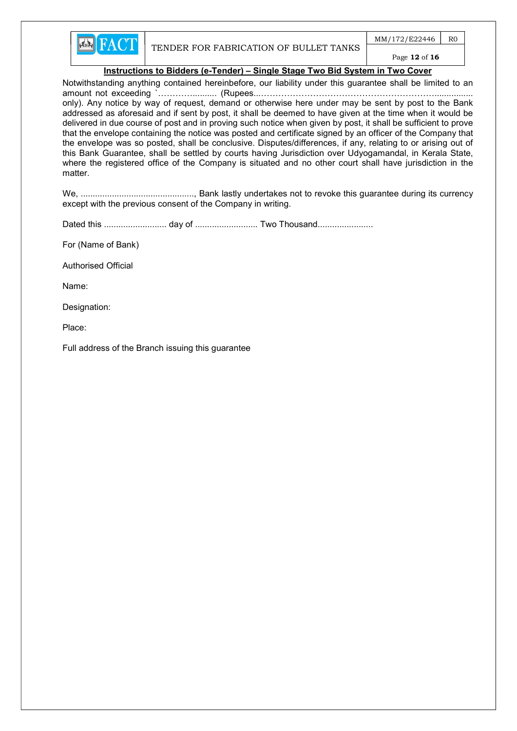

 $MM/172/E22446$  RO

# Page 12 of 16

#### Instructions to Bidders (e-Tender) – Single Stage Two Bid System in Two Cover

Notwithstanding anything contained hereinbefore, our liability under this guarantee shall be limited to an amount not exceeding `………….......... (Rupees...……………………………………………………................ only). Any notice by way of request, demand or otherwise here under may be sent by post to the Bank addressed as aforesaid and if sent by post, it shall be deemed to have given at the time when it would be delivered in due course of post and in proving such notice when given by post, it shall be sufficient to prove that the envelope containing the notice was posted and certificate signed by an officer of the Company that the envelope was so posted, shall be conclusive. Disputes/differences, if any, relating to or arising out of this Bank Guarantee, shall be settled by courts having Jurisdiction over Udyogamandal, in Kerala State, where the registered office of the Company is situated and no other court shall have jurisdiction in the matter.

We, ..............................................., Bank lastly undertakes not to revoke this guarantee during its currency except with the previous consent of the Company in writing.

Dated this .......................... day of .......................... Two Thousand.......................

For (Name of Bank)

Authorised Official

Name:

Designation:

Place:

Full address of the Branch issuing this guarantee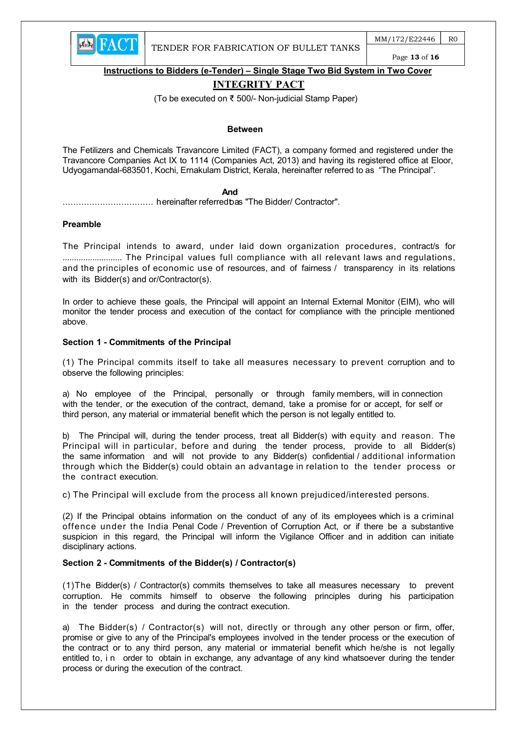

Instructions to Bidders (e-Tender) – Single Stage Two Bid System in Two Cover

# INTEGRITY PACT

(To be executed on ₹ 500/- Non-judicial Stamp Paper)

#### Between

The Fetilizers and Chemicals Travancore Limited (FACT), a company formed and registered under the Travancore Companies Act IX to 1114 (Companies Act, 2013) and having its registered office at Eloor, Udyogamandal-683501, Kochi, Ernakulam District, Kerala, hereinafter referred to as "The Principal".

#### **And And And And** *And And*

.................................. hereinafter referred to as "The Bidder/ Contractor".

#### Preamble

The Principal intends to award, under laid down organization procedures, contract/s for .......................... The Principal values full compliance with all relevant laws and regulations, and the principles of economic use of resources, and of fairness / transparency in its relations with its Bidder(s) and or/Contractor(s).

In order to achieve these goals, the Principal will appoint an Internal External Monitor (EIM), who will monitor the tender process and execution of the contact for compliance with the principle mentioned above.

#### Section 1 - Commitments of the Principal

(1) The Principal commits itself to take all measures necessary to prevent corruption and to observe the following principles:

a) No employee of the Principal, personally or through family members, will in connection with the tender, or the execution of the contract, demand, take a promise for or accept, for self or third person, any material or immaterial benefit which the person is not legally entitled to.

b) The Principal will, during the tender process, treat all Bidder(s) with equity and reason. The Principal will in particular, before and during the tender process, provide to all Bidder(s) the same information and will not provide to any Bidder(s) confidential / additional information through which the Bidder(s) could obtain an advantage in relation to the tender process or the contract execution.

c) The Principal will exclude from the process all known prejudiced/interested persons.

(2) If the Principal obtains information on the conduct of any of its employees which is a criminal offence under the India Penal Code / Prevention of Corruption Act, or if there be a substantive suspicion in this regard, the Principal will inform the Vigilance Officer and in addition can initiate disciplinary actions.

### Section 2 - Commitments of the Bidder(s) / Contractor(s)

(1)The Bidder(s) / Contractor(s) commits themselves to take all measures necessary to prevent corruption. He commits himself to observe the following principles during his participation in the tender process and during the contract execution.

a) The Bidder(s) / Contractor(s) will not, directly or through any other person or firm, offer, promise or give to any of the Principal's employees involved in the tender process or the execution of the contract or to any third person, any material or immaterial benefit which he/she is not legally entitled to, i n order to obtain in exchange, any advantage of any kind whatsoever during the tender process or during the execution of the contract.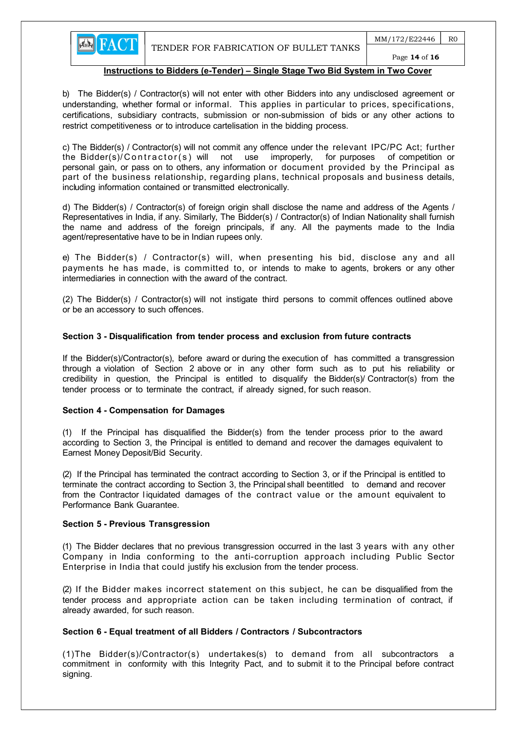

Page 14 of 16

#### Instructions to Bidders (e-Tender) – Single Stage Two Bid System in Two Cover

b) The Bidder(s) / Contractor(s) will not enter with other Bidders into any undisclosed agreement or understanding, whether formal or informal. This applies in particular to prices, specifications, certifications, subsidiary contracts, submission or non-submission of bids or any other actions to restrict competitiveness or to introduce cartelisation in the bidding process.

c) The Bidder(s) / Contractor(s) will not commit any offence under the relevant IPC/PC Act; further the Bidder(s)/Contractor(s) will not use improperly, for purposes of competition or personal gain, or pass on to others, any information or document provided by the Principal as part of the business relationship, regarding plans, technical proposals and business details, including information contained or transmitted electronically.

d) The Bidder(s) / Contractor(s) of foreign origin shall disclose the name and address of the Agents / Representatives in India, if any. Similarly, The Bidder(s) / Contractor(s) of Indian Nationality shall furnish the name and address of the foreign principals, if any. All the payments made to the India agent/representative have to be in Indian rupees only.

e) The Bidder(s) / Contractor(s) will, when presenting his bid, disclose any and all payments he has made, is committed to, or intends to make to agents, brokers or any other intermediaries in connection with the award of the contract.

(2) The Bidder(s) / Contractor(s) will not instigate third persons to commit offences outlined above or be an accessory to such offences.

#### Section 3 - Disqualification from tender process and exclusion from future contracts

If the Bidder(s)/Contractor(s), before award or during the execution of has committed a transgression through a violation of Section 2 above or in any other form such as to put his reliability or credibility in question, the Principal is entitled to disqualify the Bidder(s)/ Contractor(s) from the tender process or to terminate the contract, if already signed, for such reason.

#### Section 4 - Compensation for Damages

(1) If the Principal has disqualified the Bidder(s) from the tender process prior to the award according to Section 3, the Principal is entitled to demand and recover the damages equivalent to Earnest Money Deposit/Bid Security.

(2) If the Principal has terminated the contract according to Section 3, or if the Principal is entitled to terminate the contract according to Section 3, the Principal shall be entitled to demand and recover from the Contractor l iquidated damages of the contract value or the amount equivalent to Performance Bank Guarantee.

#### Section 5 - Previous Transgression

(1) The Bidder declares that no previous transgression occurred in the last 3 years with any other Company in India conforming to the anti-corruption approach including Public Sector Enterprise in India that could justify his exclusion from the tender process.

(2) If the Bidder makes incorrect statement on this subject, he can be disqualified from the tender process and appropriate action can be taken including termination of contract, if already awarded, for such reason.

# Section 6 - Equal treatment of all Bidders / Contractors / Subcontractors

(1)The Bidder(s)/Contractor(s) undertakes(s) to demand from all subcontractors a commitment in conformity with this Integrity Pact, and to submit it to the Principal before contract signing.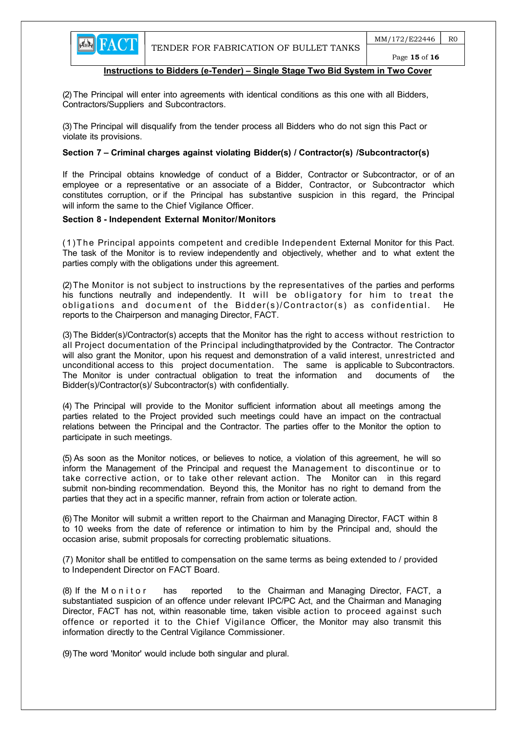

(2) The Principal will enter into agreements with identical conditions as this one with all Bidders, Contractors/Suppliers and Subcontractors.

(3) The Principal will disqualify from the tender process all Bidders who do not sign this Pact or violate its provisions.

#### Section 7 – Criminal charges against violating Bidder(s) / Contractor(s) / Subcontractor(s)

If the Principal obtains knowledge of conduct of a Bidder, Contractor or Subcontractor, or of an employee or a representative or an associate of a Bidder, Contractor, or Subcontractor which constitutes corruption, or if the Principal has substantive suspicion in this regard, the Principal will inform the same to the Chief Vigilance Officer.

#### Section 8 - Independent External Monitor/Monitors

(1)T he Principal appoints competent and credible Independent External Monitor for this Pact. The task of the Monitor is to review independently and objectively, whether and to what extent the parties comply with the obligations under this agreement.

(2) The Monitor is not subject to instructions by the representatives of the parties and performs his functions neutrally and independently. It will be obligatory for him to treat the obligations and document of the Bidder(s)/Contractor(s) as confidential. He reports to the Chairperson and managing Director, FACT.

(3) The Bidder(s)/Contractor(s) accepts that the Monitor has the right to access without restriction to all Project documentation of the Principal including that provided by the Contractor. The Contractor will also grant the Monitor, upon his request and demonstration of a valid interest, unrestricted and unconditional access to this project documentation. The same is applicable to Subcontractors. The Monitor is under contractual obligation to treat the information and documents of the Bidder(s)/Contractor(s)/ Subcontractor(s) with confidentially.

(4) The Principal will provide to the Monitor sufficient information about all meetings among the parties related to the Project provided such meetings could have an impact on the contractual relations between the Principal and the Contractor. The parties offer to the Monitor the option to participate in such meetings.

(5) As soon as the Monitor notices, or believes to notice, a violation of this agreement, he will so inform the Management of the Principal and request the Management to discontinue or to take corrective action, or to take other relevant action. The Monitor can in this regard submit non-binding recommendation. Beyond this, the Monitor has no right to demand from the parties that they act in a specific manner, refrain from action or tolerate action.

(6) The Monitor will submit a written report to the Chairman and Managing Director, FACT within 8 to 10 weeks from the date of reference or intimation to him by the Principal and, should the occasion arise, submit proposals for correcting problematic situations.

 (7) Monitor shall be entitled to compensation on the same terms as being extended to / provided to Independent Director on FACT Board.

(8) If the M on it or has reported to the Chairman and Managing Director, FACT, a substantiated suspicion of an offence under relevant IPC/PC Act, and the Chairman and Managing Director, FACT has not, within reasonable time, taken visible action to proceed against such offence or reported it to the Chief Vigilance Officer, the Monitor may also transmit this information directly to the Central Vigilance Commissioner.

(9) The word 'Monitor' would include both singular and plural.